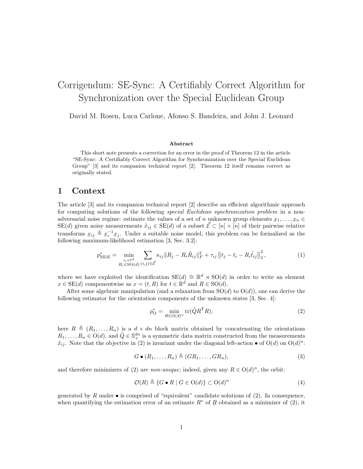# Corrigendum: SE-Sync: A Certifiably Correct Algorithm for Synchronization over the Special Euclidean Group

David M. Rosen, Luca Carlone, Afonso S. Bandeira, and John J. Leonard

#### Abstract

This short note presents a correction for an error in the proof of Theorem 12 in the article "SE-Sync: A Certifiably Correct Algorithm for Synchronization over the Special Euclidean Group" [\[3\]](#page-3-0) and its companion technical report [\[2\]](#page-3-1). Theorem 12 itself remains correct as originally stated.

### 1 Context

The article [\[3\]](#page-3-0) and its companion technical report [\[2\]](#page-3-1) describe an efficient algorithmic approach for computing solutions of the following special Euclidean synchronization problem in a nonadversarial noise regime: estimate the values of a set of n unknown group elements  $x_1, \ldots, x_n \in$  $\text{SE}(d)$  given noisy measurements  $\tilde{x}_{ij} \in \text{SE}(d)$  of a subset  $\vec{\mathcal{E}} \subset [n] \times [n]$  of their pairwise relative transforms  $x_{ij} \triangleq x_i^{-1} x_j$ . Under a suitable noise model, this problem can be formalized as the following maximum-likelihood estimation [\[3,](#page-3-0) Sec. 3.2]:

$$
p_{\text{MLE}}^{*} = \min_{\substack{t_i \in \mathbb{R}^d \\ R_i \in \text{SO}(d)}} \sum_{(i,j) \in \vec{\mathcal{E}}} \kappa_{ij} \| R_j - R_i \tilde{R}_{ij} \|_{F}^2 + \tau_{ij} \| t_j - t_i - R_i \tilde{t}_{ij} \|_{2}^2, \tag{1}
$$

where we have exploited the identification  $SE(d) \cong \mathbb{R}^d \rtimes SO(d)$  in order to write an element  $x \in \text{SE}(d)$  componentwise as  $x = (t, R)$  for  $t \in \mathbb{R}^d$  and  $R \in \text{SO}(d)$ .

After some algebraic manipulation (and a relaxation from  $SO(d)$  to  $O(d)$ ), one can derive the following estimator for the orientation components of the unknown states [\[3,](#page-3-0) Sec. 4]:

<span id="page-0-0"></span>
$$
p_{\mathcal{O}}^* = \min_{R \in \mathcal{O}(d)^n} \text{tr}(\tilde{Q}R^{\mathsf{T}}R); \tag{2}
$$

here  $R \triangleq (R_1, \ldots, R_n)$  is a  $d \times dn$  block matrix obtained by concatenating the orientations  $R_1, \ldots, R_n \in O(d)$ , and  $\tilde{Q} \in \mathbb{S}^{dn}_+$  is a symmetric data matrix constructed from the measurements  $\tilde{x}_{ij}$ . Note that the objective in [\(2\)](#page-0-0) is invariant under the diagonal left-action  $\bullet$  of  $O(d)$  on  $O(d)^n$ :

$$
G \bullet (R_1, \dots, R_n) \triangleq (GR_1, \dots, GR_n), \tag{3}
$$

and therefore minimizers of [\(2\)](#page-0-0) are *non-unique*; indeed, given any  $R \in O(d)^n$ , the orbit:

$$
\mathcal{O}(R) \triangleq \{ G \bullet R \mid G \in O(d) \} \subset O(d)^n \tag{4}
$$

generated by R under  $\bullet$  is comprised of "equivalent" candidate solutions of [\(2\)](#page-0-0). In consequence, when quantifying the estimation error of an estimate  $R^*$  of  $\underline{R}$  obtained as a minimizer of [\(2\)](#page-0-0), it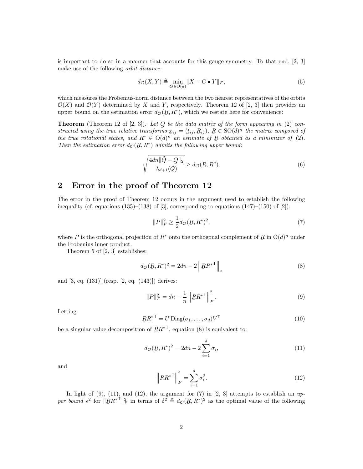is important to do so in a manner that accounts for this gauge symmetry. To that end,  $[2, 3]$  $[2, 3]$  $[2, 3]$ make use of the following orbit distance:

$$
d_{\mathcal{O}}(X,Y) \triangleq \min_{G \in \mathcal{O}(d)} \|X - G \bullet Y\|_{F},\tag{5}
$$

which measures the Frobenius-norm distance between the two nearest representatives of the orbits  $\mathcal{O}(X)$  and  $\mathcal{O}(Y)$  determined by X and Y, respectively. Theorem 12 of [\[2,](#page-3-1) [3\]](#page-3-0) then provides an upper bound on the estimation error  $d_{\mathcal{O}}(\underline{R}, R^*)$ , which we restate here for convenience:

**Theorem** (Theorem 12 of  $[2, 3]$  $[2, 3]$  $[2, 3]$ ). Let Q be the data matrix of the form appearing in [\(2\)](#page-0-0) constructed using the true relative transforms  $x_{ij} = (t_{ij}, R_{ij})$ ,  $R \in SO(d)^n$  the matrix composed of the true rotational states, and  $R^* \in O(d)^n$  an estimate of R obtained as a minimizer of [\(2\)](#page-0-0). Then the estimation error  $d_{\mathcal{O}}(R, R^*)$  admits the following upper bound:

$$
\sqrt{\frac{4dn \|\tilde{Q} - Q\|_2}{\lambda_{d+1}(Q)}} \ge d_{\mathcal{O}}(R, R^*).
$$
\n(6)

## 2 Error in the proof of Theorem 12

The error in the proof of Theorem 12 occurs in the argument used to establish the following inequality (cf. equations  $(135)$ – $(138)$  of [\[3\]](#page-3-0), corresponding to equations  $(147)$ – $(150)$  of [\[2\]](#page-3-1)):

<span id="page-1-4"></span>
$$
||P||_F^2 \ge \frac{1}{2} d_{\mathcal{O}}(R, R^*)^2,\tag{7}
$$

where P is the orthogonal projection of  $R^*$  onto the orthogonal complement of R in  $O(d)^n$  under<br>the Explonius inner product the Frobenius inner product.

Theorem 5 of [\[2,](#page-3-1) [3\]](#page-3-0) establishes:

<span id="page-1-0"></span>
$$
d_{\mathcal{O}}(\underline{R}, R^*)^2 = 2dn - 2\left\|RR^{*T}\right\|_*
$$
\n(8)

and [\[3,](#page-3-0) eq. (131)] (resp. [\[2,](#page-3-1) eq. (143)]) derives:

<span id="page-1-1"></span>
$$
||P||_F^2 = dn - \frac{1}{n} ||RR^{*T}||_F^2.
$$
\n(9)

Letting

<span id="page-1-5"></span>
$$
RR^{*T} = U \operatorname{Diag}(\sigma_1, \dots, \sigma_d) V^{T}
$$
\n(10)

be a singular value decomposition of  $RR^*$ <sup>T</sup>, equation [\(8\)](#page-1-0) is equivalent to:

<span id="page-1-2"></span>
$$
d_{\mathcal{O}}(R, R^*)^2 = 2dn - 2\sum_{i=1}^d \sigma_i,
$$
\n(11)

and

<span id="page-1-3"></span>
$$
\left\|RR^*\right\|_F^2 = \sum_{i=1}^d \sigma_i^2.
$$
\n(12)

In light of [\(9\)](#page-1-1), [\(11\)](#page-1-2), and [\(12\)](#page-1-3), the argument for [\(7\)](#page-1-4) in [\[2,](#page-3-1) [3\]](#page-3-0) attempts to establish an  $up$ per bound  $\epsilon^2$  for  $||RR^*||_F^2$  in terms of  $\delta^2 \triangleq d_{\mathcal{O}}(R, R^*)^2$  as the optimal value of the following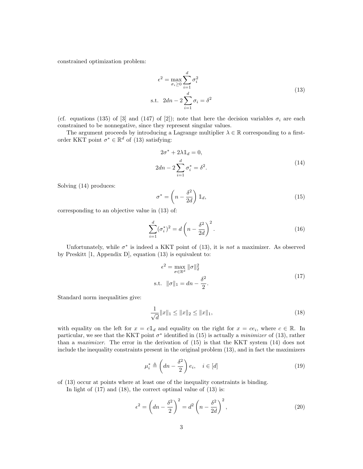<span id="page-2-0"></span>constrained optimization problem:

$$
\epsilon^2 = \max_{\sigma_i \ge 0} \sum_{i=1}^d \sigma_i^2
$$
  
s.t. 
$$
2dn - 2\sum_{i=1}^d \sigma_i = \delta^2
$$
 (13)

(cf. equations (135) of [\[3\]](#page-3-0) and (147) of [\[2\]](#page-3-1)); note that here the decision variables  $\sigma_i$  are each constrained to be nonnegative, since they represent singular values.

The argument proceeds by introducing a Lagrange multiplier  $\lambda \in \mathbb{R}$  corresponding to a firstorder KKT point  $\sigma^* \in \mathbb{R}^d$  of [\(13\)](#page-2-0) satisfying:

<span id="page-2-1"></span>
$$
2\sigma^* + 2\lambda \mathbb{1}_d = 0,
$$
  

$$
2dn - 2\sum_{i=1}^d \sigma_i^* = \delta^2.
$$
 (14)

Solving [\(14\)](#page-2-1) produces:

<span id="page-2-2"></span>
$$
\sigma^* = \left(n - \frac{\delta^2}{2d}\right) \mathbb{1}_d,\tag{15}
$$

corresponding to an objective value in [\(13\)](#page-2-0) of:

<span id="page-2-5"></span>
$$
\sum_{i=1}^{d} (\sigma_i^*)^2 = d\left(n - \frac{\delta^2}{2d}\right)^2.
$$
\n(16)

Unfortunately, while  $\sigma^*$  is indeed a KKT point of [\(13\)](#page-2-0), it is not a maximizer. As observed by Preskitt [\[1,](#page-3-2) Appendix D], equation [\(13\)](#page-2-0) is equivalent to:

$$
\epsilon^2 = \max_{\sigma \in \mathbb{R}^d} \|\sigma\|_2^2
$$
  
s.t.  $\|\sigma\|_1 = dn - \frac{\delta^2}{2}.$  (17)

<span id="page-2-3"></span>Standard norm inequalities give:

<span id="page-2-4"></span>
$$
\frac{1}{\sqrt{d}}||x||_1 \le ||x||_2 \le ||x||_1,\tag{18}
$$

with equality on the left for  $x = c \mathbb{1}_d$  and equality on the right for  $x = ce_i$ , where  $c \in \mathbb{R}$ . In particular, we see that the KKT point  $\sigma^*$  identified in [\(15\)](#page-2-2) is actually a *minimizer* of [\(13\)](#page-2-0), rather than a maximizer. The error in the derivation of [\(15\)](#page-2-2) is that the KKT system [\(14\)](#page-2-1) does not include the inequality constraints present in the original problem [\(13\)](#page-2-0), and in fact the maximizers

$$
\mu_i^* \triangleq \left(dn - \frac{\delta^2}{2}\right) e_i, \quad i \in [d]
$$
\n(19)

of [\(13\)](#page-2-0) occur at points where at least one of the inequality constraints is binding.

In light of  $(17)$  and  $(18)$ , the correct optimal value of  $(13)$  is:

<span id="page-2-6"></span>
$$
\epsilon^2 = \left(dn - \frac{\delta^2}{2}\right)^2 = d^2 \left(n - \frac{\delta^2}{2d}\right)^2,\tag{20}
$$